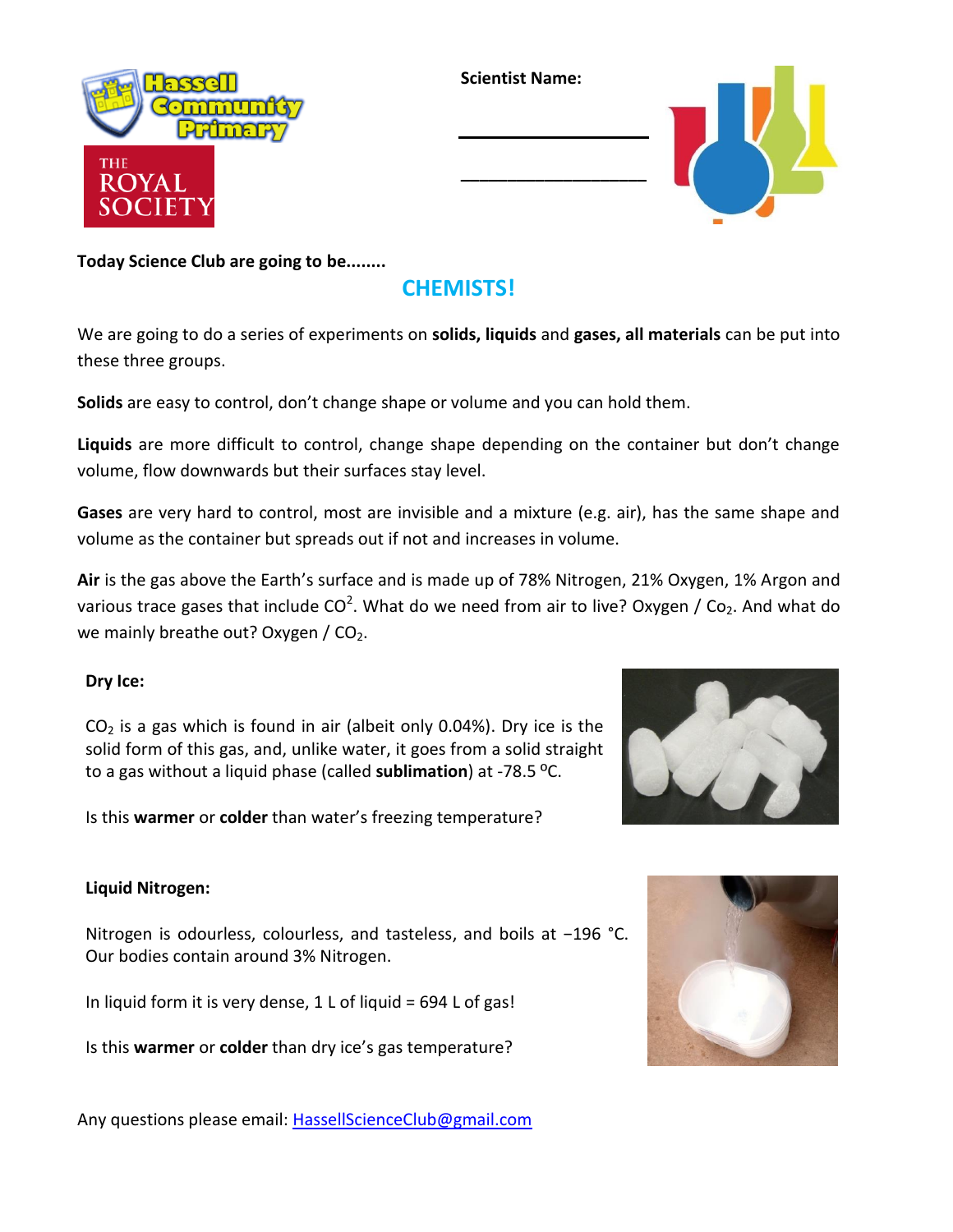

**Scientist Name:**

**\_\_\_\_\_\_\_\_\_\_\_\_\_\_\_\_\_\_\_\_**



**Today Science Club are going to be........**

## **CHEMISTS!**

We are going to do a series of experiments on **solids, liquids** and **gases, all materials** can be put into these three groups.

**Solids** are easy to control, don't change shape or volume and you can hold them.

**Liquids** are more difficult to control, change shape depending on the container but don't change volume, flow downwards but their surfaces stay level.

**Gases** are very hard to control, most are invisible and a mixture (e.g. air), has the same shape and volume as the container but spreads out if not and increases in volume.

**Air** is the gas above the Earth's surface and is made up of 78% Nitrogen, 21% Oxygen, 1% Argon and various trace gases that include CO<sup>2</sup>. What do we need from air to live? Oxygen / Co<sub>2</sub>. And what do we mainly breathe out? Oxygen / CO2.

## **Dry Ice:**



 $CO<sub>2</sub>$  is a gas which is found in air (albeit only 0.04%). Dry ice is the solid form of this gas, and, unlike water, it goes from a solid straight to a gas without a liquid phase (called **sublimation**) at -78.5 ºC.

Is this **warmer** or **colder** than water's freezing temperature?

## **Liquid Nitrogen:**

Nitrogen is odourless, colourless, and tasteless, and boils at −196 °C. Our bodies contain around 3% Nitrogen.

In liquid form it is very dense,  $1$  L of liquid = 694 L of gas!

Is this **warmer** or **colder** than dry ice's gas temperature?